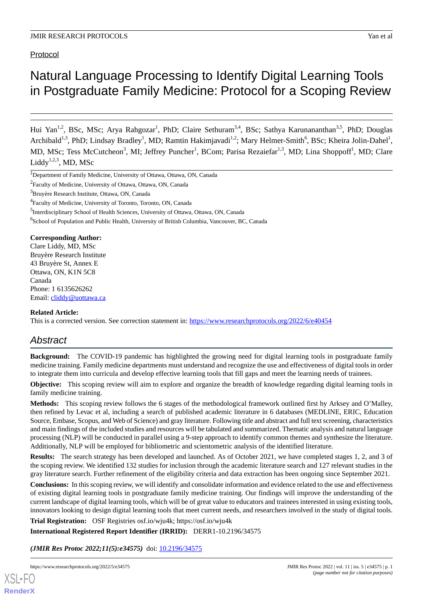Protocol

# Natural Language Processing to Identify Digital Learning Tools in Postgraduate Family Medicine: Protocol for a Scoping Review

Hui Yan<sup>1,2</sup>, BSc, MSc; Arya Rahgozar<sup>1</sup>, PhD; Claire Sethuram<sup>3,4</sup>, BSc; Sathya Karunananthan<sup>3,5</sup>, PhD; Douglas Archibald<sup>1,3</sup>, PhD; Lindsay Bradley<sup>1</sup>, MD; Ramtin Hakimjavadi<sup>1,2</sup>; Mary Helmer-Smith<sup>6</sup>, BSc; Kheira Jolin-Dahel<sup>1</sup>, MD, MSc; Tess McCutcheon<sup>3</sup>, MI; Jeffrey Puncher<sup>1</sup>, BCom; Parisa Rezaiefar<sup>1,3</sup>, MD; Lina Shoppoff<sup>1</sup>, MD; Clare Liddy $^{1,2,3}$ , MD, MSc

<sup>5</sup>Interdisciplinary School of Health Sciences, University of Ottawa, Ottawa, ON, Canada

<sup>6</sup>School of Population and Public Health, University of British Columbia, Vancouver, BC, Canada

**Corresponding Author:** Clare Liddy, MD, MSc Bruyère Research Institute 43 Bruyère St, Annex E Ottawa, ON, K1N 5C8 Canada Phone: 1 6135626262 Email: [cliddy@uottawa.ca](mailto:cliddy@uottawa.ca)

# **Related Article:**

This is a corrected version. See correction statement in: <https://www.researchprotocols.org/2022/6/e40454>

# *Abstract*

**Background:** The COVID-19 pandemic has highlighted the growing need for digital learning tools in postgraduate family medicine training. Family medicine departments must understand and recognize the use and effectiveness of digital tools in order to integrate them into curricula and develop effective learning tools that fill gaps and meet the learning needs of trainees.

**Objective:** This scoping review will aim to explore and organize the breadth of knowledge regarding digital learning tools in family medicine training.

**Methods:** This scoping review follows the 6 stages of the methodological framework outlined first by Arksey and O'Malley, then refined by Levac et al, including a search of published academic literature in 6 databases (MEDLINE, ERIC, Education Source, Embase, Scopus, and Web of Science) and gray literature. Following title and abstract and full text screening, characteristics and main findings of the included studies and resources will be tabulated and summarized. Thematic analysis and natural language processing (NLP) will be conducted in parallel using a 9-step approach to identify common themes and synthesize the literature. Additionally, NLP will be employed for bibliometric and scientometric analysis of the identified literature.

**Results:** The search strategy has been developed and launched. As of October 2021, we have completed stages 1, 2, and 3 of the scoping review. We identified 132 studies for inclusion through the academic literature search and 127 relevant studies in the gray literature search. Further refinement of the eligibility criteria and data extraction has been ongoing since September 2021.

**Conclusions:** In this scoping review, we will identify and consolidate information and evidence related to the use and effectiveness of existing digital learning tools in postgraduate family medicine training. Our findings will improve the understanding of the current landscape of digital learning tools, which will be of great value to educators and trainees interested in using existing tools, innovators looking to design digital learning tools that meet current needs, and researchers involved in the study of digital tools.

**Trial Registration:** OSF Registries osf.io/wju4k; https://osf.io/wju4k

**International Registered Report Identifier (IRRID):** DERR1-10.2196/34575

*(JMIR Res Protoc 2022;11(5):e34575)* doi:  $10.2196/34575$ 

[XSL](http://www.w3.org/Style/XSL)•FO **[RenderX](http://www.renderx.com/)**

<sup>&</sup>lt;sup>1</sup>Department of Family Medicine, University of Ottawa, Ottawa, ON, Canada

<sup>&</sup>lt;sup>2</sup> Faculty of Medicine, University of Ottawa, Ottawa, ON, Canada

<sup>&</sup>lt;sup>3</sup>Bruyère Research Institute, Ottawa, ON, Canada

<sup>&</sup>lt;sup>4</sup> Faculty of Medicine, University of Toronto, Toronto, ON, Canada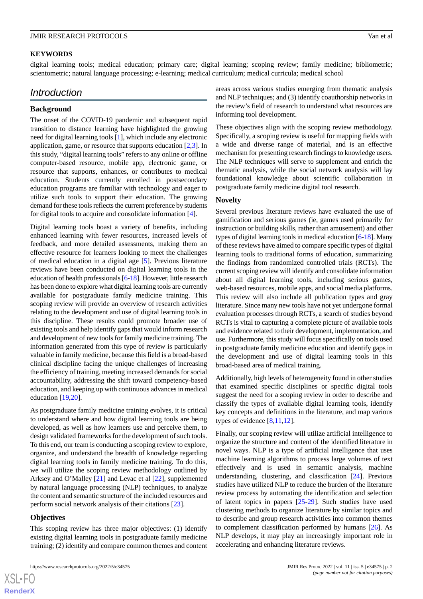#### **KEYWORDS**

digital learning tools; medical education; primary care; digital learning; scoping review; family medicine; bibliometric; scientometric; natural language processing; e-learning; medical curriculum; medical curricula; medical school

# *Introduction*

#### **Background**

The onset of the COVID-19 pandemic and subsequent rapid transition to distance learning have highlighted the growing need for digital learning tools [[1\]](#page-7-0), which include any electronic application, game, or resource that supports education [[2,](#page-7-1)[3](#page-7-2)]. In this study, "digital learning tools" refers to any online or offline computer-based resource, mobile app, electronic game, or resource that supports, enhances, or contributes to medical education. Students currently enrolled in postsecondary education programs are familiar with technology and eager to utilize such tools to support their education. The growing demand for these tools reflects the current preference by students for digital tools to acquire and consolidate information [[4\]](#page-7-3).

Digital learning tools boast a variety of benefits, including enhanced learning with fewer resources, increased levels of feedback, and more detailed assessments, making them an effective resource for learners looking to meet the challenges of medical education in a digital age [\[5\]](#page-7-4). Previous literature reviews have been conducted on digital learning tools in the education of health professionals [[6-](#page-7-5)[18\]](#page-8-0). However, little research has been done to explore what digital learning tools are currently available for postgraduate family medicine training. This scoping review will provide an overview of research activities relating to the development and use of digital learning tools in this discipline. These results could promote broader use of existing tools and help identify gaps that would inform research and development of new tools for family medicine training. The information generated from this type of review is particularly valuable in family medicine, because this field is a broad-based clinical discipline facing the unique challenges of increasing the efficiency of training, meeting increased demands for social accountability, addressing the shift toward competency-based education, and keeping up with continuous advances in medical education [\[19](#page-8-1),[20\]](#page-8-2).

As postgraduate family medicine training evolves, it is critical to understand where and how digital learning tools are being developed, as well as how learners use and perceive them, to design validated frameworks for the development of such tools. To this end, our team is conducting a scoping review to explore, organize, and understand the breadth of knowledge regarding digital learning tools in family medicine training. To do this, we will utilize the scoping review methodology outlined by Arksey and O'Malley [\[21](#page-8-3)] and Levac et al [[22\]](#page-8-4), supplemented by natural language processing (NLP) techniques, to analyze the content and semantic structure of the included resources and perform social network analysis of their citations [\[23](#page-8-5)].

# **Objectives**

This scoping review has three major objectives: (1) identify existing digital learning tools in postgraduate family medicine training; (2) identify and compare common themes and content

areas across various studies emerging from thematic analysis and NLP techniques; and (3) identify coauthorship networks in the review's field of research to understand what resources are informing tool development.

These objectives align with the scoping review methodology. Specifically, a scoping review is useful for mapping fields with a wide and diverse range of material, and is an effective mechanism for presenting research findings to knowledge users. The NLP techniques will serve to supplement and enrich the thematic analysis, while the social network analysis will lay foundational knowledge about scientific collaboration in postgraduate family medicine digital tool research.

# **Novelty**

Several previous literature reviews have evaluated the use of gamification and serious games (ie, games used primarily for instruction or building skills, rather than amusement) and other types of digital learning tools in medical education [\[6](#page-7-5)[-18](#page-8-0)]. Many of these reviews have aimed to compare specific types of digital learning tools to traditional forms of education, summarizing the findings from randomized controlled trials (RCTs). The current scoping review will identify and consolidate information about all digital learning tools, including serious games, web-based resources, mobile apps, and social media platforms. This review will also include all publication types and gray literature. Since many new tools have not yet undergone formal evaluation processes through RCTs, a search of studies beyond RCTs is vital to capturing a complete picture of available tools and evidence related to their development, implementation, and use. Furthermore, this study will focus specifically on tools used in postgraduate family medicine education and identify gaps in the development and use of digital learning tools in this broad-based area of medical training.

Additionally, high levels of heterogeneity found in other studies that examined specific disciplines or specific digital tools suggest the need for a scoping review in order to describe and classify the types of available digital learning tools, identify key concepts and definitions in the literature, and map various types of evidence  $[8,11,12]$  $[8,11,12]$  $[8,11,12]$  $[8,11,12]$  $[8,11,12]$ .

Finally, our scoping review will utilize artificial intelligence to organize the structure and content of the identified literature in novel ways. NLP is a type of artificial intelligence that uses machine learning algorithms to process large volumes of text effectively and is used in semantic analysis, machine understanding, clustering, and classification [[24\]](#page-8-6). Previous studies have utilized NLP to reduce the burden of the literature review process by automating the identification and selection of latent topics in papers [[25-](#page-8-7)[29\]](#page-8-8). Such studies have used clustering methods to organize literature by similar topics and to describe and group research activities into common themes to complement classification performed by humans [\[26](#page-8-9)]. As NLP develops, it may play an increasingly important role in accelerating and enhancing literature reviews.

 $XS$ -FO **[RenderX](http://www.renderx.com/)**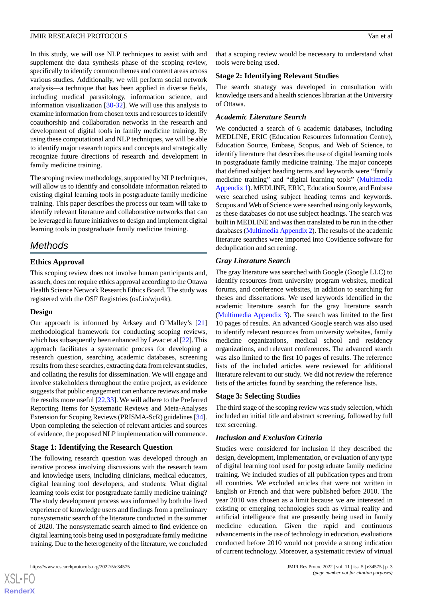In this study, we will use NLP techniques to assist with and supplement the data synthesis phase of the scoping review, specifically to identify common themes and content areas across various studies. Additionally, we will perform social network analysis—a technique that has been applied in diverse fields, including medical parasitology, information science, and information visualization [[30-](#page-8-10)[32\]](#page-8-11). We will use this analysis to examine information from chosen texts and resources to identify coauthorship and collaboration networks in the research and development of digital tools in family medicine training. By using these computational and NLP techniques, we will be able to identify major research topics and concepts and strategically recognize future directions of research and development in family medicine training.

The scoping review methodology, supported by NLP techniques, will allow us to identify and consolidate information related to existing digital learning tools in postgraduate family medicine training. This paper describes the process our team will take to identify relevant literature and collaborative networks that can be leveraged in future initiatives to design and implement digital learning tools in postgraduate family medicine training.

# *Methods*

# **Ethics Approval**

This scoping review does not involve human participants and, as such, does not require ethics approval according to the Ottawa Health Science Network Research Ethics Board. The study was registered with the OSF Registries (osf.io/wju4k).

# **Design**

Our approach is informed by Arksey and O'Malley's [\[21](#page-8-3)] methodological framework for conducting scoping reviews, which has subsequently been enhanced by Levac et al [\[22](#page-8-4)]. This approach facilitates a systematic process for developing a research question, searching academic databases, screening results from these searches, extracting data from relevant studies, and collating the results for dissemination. We will engage and involve stakeholders throughout the entire project, as evidence suggests that public engagement can enhance reviews and make the results more useful [[22](#page-8-4)[,33](#page-8-12)]. We will adhere to the Preferred Reporting Items for Systematic Reviews and Meta-Analyses Extension for Scoping Reviews (PRISMA-ScR) guidelines [\[34\]](#page-8-13). Upon completing the selection of relevant articles and sources of evidence, the proposed NLP implementation will commence.

# **Stage 1: Identifying the Research Question**

The following research question was developed through an iterative process involving discussions with the research team and knowledge users, including clinicians, medical educators, digital learning tool developers, and students: What digital learning tools exist for postgraduate family medicine training? The study development process was informed by both the lived experience of knowledge users and findings from a preliminary nonsystematic search of the literature conducted in the summer of 2020. The nonsystematic search aimed to find evidence on digital learning tools being used in postgraduate family medicine training. Due to the heterogeneity of the literature, we concluded

 $XSI - F($ **[RenderX](http://www.renderx.com/)** that a scoping review would be necessary to understand what tools were being used.

#### **Stage 2: Identifying Relevant Studies**

The search strategy was developed in consultation with knowledge users and a health sciences librarian at the University of Ottawa.

#### *Academic Literature Search*

We conducted a search of 6 academic databases, including MEDLINE, ERIC (Education Resources Information Centre), Education Source, Embase, Scopus, and Web of Science, to identify literature that describes the use of digital learning tools in postgraduate family medicine training. The major concepts that defined subject heading terms and keywords were "family medicine training" and "digital learning tools" [\(Multimedia](#page-6-0) [Appendix 1](#page-6-0)). MEDLINE, ERIC, Education Source, and Embase were searched using subject heading terms and keywords. Scopus and Web of Science were searched using only keywords, as these databases do not use subject headings. The search was built in MEDLINE and was then translated to be run in the other databases [\(Multimedia Appendix 2\)](#page-7-9). The results of the academic literature searches were imported into Covidence software for deduplication and screening.

# *Gray Literature Search*

The gray literature was searched with Google (Google LLC) to identify resources from university program websites, medical forums, and conference websites, in addition to searching for theses and dissertations. We used keywords identified in the academic literature search for the gray literature search ([Multimedia Appendix 3](#page-7-10)). The search was limited to the first 10 pages of results. An advanced Google search was also used to identify relevant resources from university websites, family medicine organizations, medical school and residency organizations, and relevant conferences. The advanced search was also limited to the first 10 pages of results. The reference lists of the included articles were reviewed for additional literature relevant to our study. We did not review the reference lists of the articles found by searching the reference lists.

# **Stage 3: Selecting Studies**

The third stage of the scoping review was study selection, which included an initial title and abstract screening, followed by full text screening.

# *Inclusion and Exclusion Criteria*

Studies were considered for inclusion if they described the design, development, implementation, or evaluation of any type of digital learning tool used for postgraduate family medicine training. We included studies of all publication types and from all countries. We excluded articles that were not written in English or French and that were published before 2010. The year 2010 was chosen as a limit because we are interested in existing or emerging technologies such as virtual reality and artificial intelligence that are presently being used in family medicine education. Given the rapid and continuous advancements in the use of technology in education, evaluations conducted before 2010 would not provide a strong indication of current technology. Moreover, a systematic review of virtual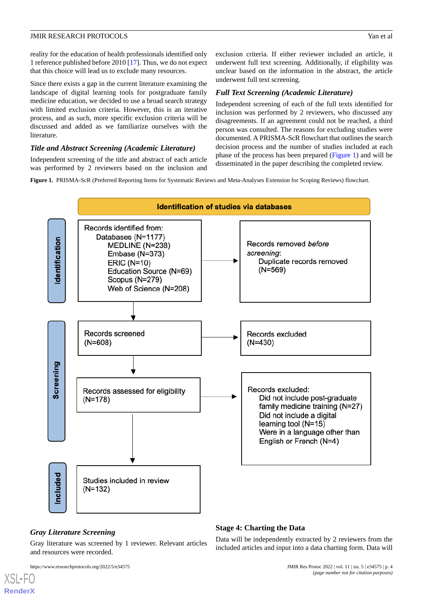reality for the education of health professionals identified only 1 reference published before 2010 [[17\]](#page-7-11). Thus, we do not expect that this choice will lead us to exclude many resources.

Since there exists a gap in the current literature examining the landscape of digital learning tools for postgraduate family medicine education, we decided to use a broad search strategy with limited exclusion criteria. However, this is an iterative process, and as such, more specific exclusion criteria will be discussed and added as we familiarize ourselves with the literature.

# *Title and Abstract Screening (Academic Literature)*

<span id="page-3-0"></span>Independent screening of the title and abstract of each article was performed by 2 reviewers based on the inclusion and exclusion criteria. If either reviewer included an article, it underwent full text screening. Additionally, if eligibility was unclear based on the information in the abstract, the article underwent full text screening.

# *Full Text Screening (Academic Literature)*

Independent screening of each of the full texts identified for inclusion was performed by 2 reviewers, who discussed any disagreements. If an agreement could not be reached, a third person was consulted. The reasons for excluding studies were documented. A PRISMA-ScR flowchart that outlines the search decision process and the number of studies included at each phase of the process has been prepared ([Figure 1](#page-3-0)) and will be disseminated in the paper describing the completed review.

**Figure 1.** PRISMA-ScR (Preferred Reporting Items for Systematic Reviews and Meta-Analyses Extension for Scoping Reviews) flowchart.



# *Gray Literature Screening*

Gray literature was screened by 1 reviewer. Relevant articles and resources were recorded.

[XSL](http://www.w3.org/Style/XSL)•FO **[RenderX](http://www.renderx.com/)**

# **Stage 4: Charting the Data**

Data will be independently extracted by 2 reviewers from the included articles and input into a data charting form. Data will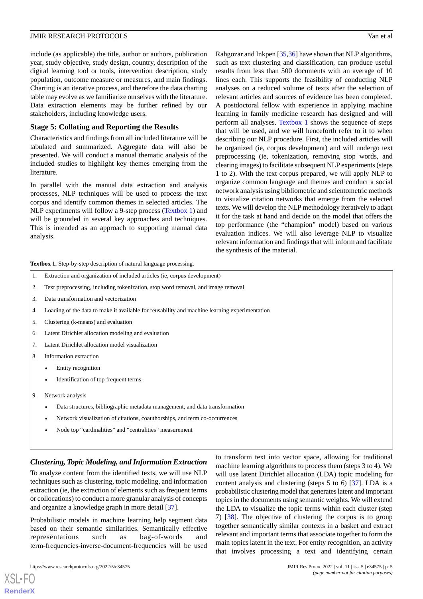include (as applicable) the title, author or authors, publication year, study objective, study design, country, description of the digital learning tool or tools, intervention description, study population, outcome measure or measures, and main findings. Charting is an iterative process, and therefore the data charting table may evolve as we familiarize ourselves with the literature. Data extraction elements may be further refined by our stakeholders, including knowledge users.

# **Stage 5: Collating and Reporting the Results**

Characteristics and findings from all included literature will be tabulated and summarized. Aggregate data will also be presented. We will conduct a manual thematic analysis of the included studies to highlight key themes emerging from the literature.

In parallel with the manual data extraction and analysis processes, NLP techniques will be used to process the text corpus and identify common themes in selected articles. The NLP experiments will follow a 9-step process [\(Textbox 1](#page-4-0)) and will be grounded in several key approaches and techniques. This is intended as an approach to supporting manual data analysis.

Rahgozar and Inkpen [[35,](#page-8-14)[36\]](#page-8-15) have shown that NLP algorithms, such as text clustering and classification, can produce useful results from less than 500 documents with an average of 10 lines each. This supports the feasibility of conducting NLP analyses on a reduced volume of texts after the selection of relevant articles and sources of evidence has been completed. A postdoctoral fellow with experience in applying machine learning in family medicine research has designed and will perform all analyses. [Textbox 1](#page-4-0) shows the sequence of steps that will be used, and we will henceforth refer to it to when describing our NLP procedure. First, the included articles will be organized (ie, corpus development) and will undergo text preprocessing (ie, tokenization, removing stop words, and clearing images) to facilitate subsequent NLP experiments (steps 1 to 2). With the text corpus prepared, we will apply NLP to organize common language and themes and conduct a social network analysis using bibliometric and scientometric methods to visualize citation networks that emerge from the selected texts. We will develop the NLP methodology iteratively to adapt it for the task at hand and decide on the model that offers the top performance (the "champion" model) based on various evaluation indices. We will also leverage NLP to visualize relevant information and findings that will inform and facilitate the synthesis of the material.

<span id="page-4-0"></span>**Textbox 1.** Step-by-step description of natural language processing.

- 1. Extraction and organization of included articles (ie, corpus development)
- 2. Text preprocessing, including tokenization, stop word removal, and image removal
- 3. Data transformation and vectorization
- 4. Loading of the data to make it available for reusability and machine learning experimentation
- 5. Clustering (k-means) and evaluation
- 6. Latent Dirichlet allocation modeling and evaluation
- 7. Latent Dirichlet allocation model visualization
- 8. Information extraction
	- Entity recognition
	- Identification of top frequent terms
- 9. Network analysis
	- Data structures, bibliographic metadata management, and data transformation
	- Network visualization of citations, coauthorships, and term co-occurrences
	- Node top "cardinalities" and "centralities" measurement

# *Clustering, Topic Modeling, and Information Extraction*

To analyze content from the identified texts, we will use NLP techniques such as clustering, topic modeling, and information extraction (ie, the extraction of elements such as frequent terms or collocations) to conduct a more granular analysis of concepts and organize a knowledge graph in more detail [[37\]](#page-8-16).

Probabilistic models in machine learning help segment data based on their semantic similarities. Semantically effective representations such as bag-of-words and term-frequencies-inverse-document-frequencies will be used

[XSL](http://www.w3.org/Style/XSL)•FO **[RenderX](http://www.renderx.com/)**

to transform text into vector space, allowing for traditional machine learning algorithms to process them (steps 3 to 4). We will use latent Dirichlet allocation (LDA) topic modeling for content analysis and clustering (steps 5 to 6) [\[37](#page-8-16)]. LDA is a probabilistic clustering model that generates latent and important topics in the documents using semantic weights. We will extend the LDA to visualize the topic terms within each cluster (step 7) [[38\]](#page-8-17). The objective of clustering the corpus is to group together semantically similar contexts in a basket and extract relevant and important terms that associate together to form the main topics latent in the text. For entity recognition, an activity that involves processing a text and identifying certain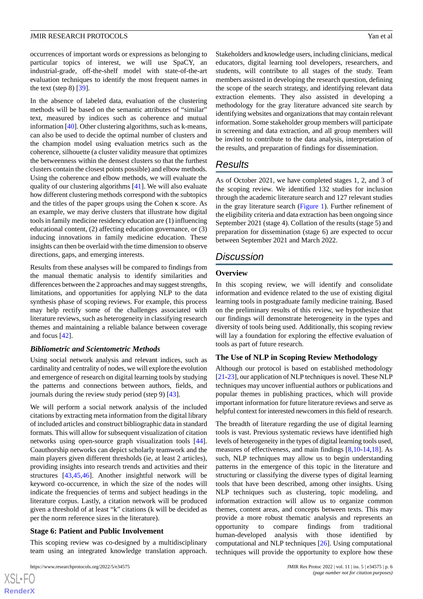In the absence of labeled data, evaluation of the clustering methods will be based on the semantic attributes of "similar" text, measured by indices such as coherence and mutual information [[40\]](#page-8-19). Other clustering algorithms, such as k-means, can also be used to decide the optimal number of clusters and the champion model using evaluation metrics such as the coherence, silhouette (a cluster validity measure that optimizes the betweenness within the densest clusters so that the furthest clusters contain the closest points possible) and elbow methods. Using the coherence and elbow methods, we will evaluate the quality of our clustering algorithms [\[41](#page-8-20)]. We will also evaluate how different clustering methods correspond with the subtopics and the titles of the paper groups using the Cohen κ score. As an example, we may derive clusters that illustrate how digital tools in family medicine residency education are (1) influencing educational content, (2) affecting education governance, or (3) inducing innovations in family medicine education. These insights can then be overlaid with the time dimension to observe directions, gaps, and emerging interests.

Results from these analyses will be compared to findings from the manual thematic analysis to identify similarities and differences between the 2 approaches and may suggest strengths, limitations, and opportunities for applying NLP to the data synthesis phase of scoping reviews. For example, this process may help rectify some of the challenges associated with literature reviews, such as heterogeneity in classifying research themes and maintaining a reliable balance between coverage and focus [[42\]](#page-8-21).

# *Bibliometric and Scientometric Methods*

Using social network analysis and relevant indices, such as cardinality and centrality of nodes, we will explore the evolution and emergence of research on digital learning tools by studying the patterns and connections between authors, fields, and journals during the review study period (step 9) [\[43](#page-8-22)].

We will perform a social network analysis of the included citations by extracting meta information from the digital library of included articles and construct bibliographic data in standard formats. This will allow for subsequent visualization of citation networks using open-source graph visualization tools [[44\]](#page-9-0). Coauthorship networks can depict scholarly teamwork and the main players given different thresholds (ie, at least 2 articles), providing insights into research trends and activities and their structures [[43](#page-8-22)[,45](#page-9-1),[46\]](#page-9-2). Another insightful network will be keyword co-occurrence, in which the size of the nodes will indicate the frequencies of terms and subject headings in the literature corpus. Lastly, a citation network will be produced given a threshold of at least "k" citations (k will be decided as per the norm reference sizes in the literature).

# **Stage 6: Patient and Public Involvement**

This scoping review was co-designed by a multidisciplinary team using an integrated knowledge translation approach.

 $XS$ -FO **[RenderX](http://www.renderx.com/)** Stakeholders and knowledge users, including clinicians, medical educators, digital learning tool developers, researchers, and students, will contribute to all stages of the study. Team members assisted in developing the research question, defining the scope of the search strategy, and identifying relevant data extraction elements. They also assisted in developing a methodology for the gray literature advanced site search by identifying websites and organizations that may contain relevant information. Some stakeholder group members will participate in screening and data extraction, and all group members will be invited to contribute to the data analysis, interpretation of the results, and preparation of findings for dissemination.

# *Results*

As of October 2021, we have completed stages 1, 2, and 3 of the scoping review. We identified 132 studies for inclusion through the academic literature search and 127 relevant studies in the gray literature search [\(Figure 1](#page-3-0)). Further refinement of the eligibility criteria and data extraction has been ongoing since September 2021 (stage 4). Collation of the results (stage 5) and preparation for dissemination (stage 6) are expected to occur between September 2021 and March 2022.

# *Discussion*

# **Overview**

In this scoping review, we will identify and consolidate information and evidence related to the use of existing digital learning tools in postgraduate family medicine training. Based on the preliminary results of this review, we hypothesize that our findings will demonstrate heterogeneity in the types and diversity of tools being used. Additionally, this scoping review will lay a foundation for exploring the effective evaluation of tools as part of future research.

# **The Use of NLP in Scoping Review Methodology**

Although our protocol is based on established methodology [[21-](#page-8-3)[23](#page-8-5)], our application of NLP techniques is novel. These NLP techniques may uncover influential authors or publications and popular themes in publishing practices, which will provide important information for future literature reviews and serve as helpful context for interested newcomers in this field of research.

The breadth of literature regarding the use of digital learning tools is vast. Previous systematic reviews have identified high levels of heterogeneity in the types of digital learning tools used, measures of effectiveness, and main findings [[8](#page-7-6)[,10](#page-7-12)-[14,](#page-7-13)[18](#page-8-0)]. As such, NLP techniques may allow us to begin understanding patterns in the emergence of this topic in the literature and structuring or classifying the diverse types of digital learning tools that have been described, among other insights. Using NLP techniques such as clustering, topic modeling, and information extraction will allow us to organize common themes, content areas, and concepts between texts. This may provide a more robust thematic analysis and represents an opportunity to compare findings from traditional human-developed analysis with those identified by computational and NLP techniques [[26\]](#page-8-9). Using computational techniques will provide the opportunity to explore how these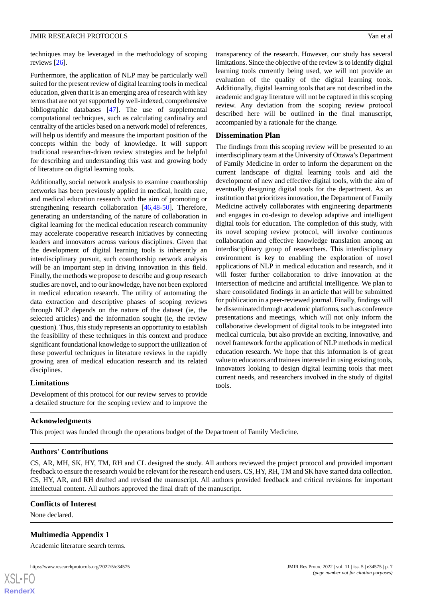techniques may be leveraged in the methodology of scoping reviews [[26\]](#page-8-9).

Furthermore, the application of NLP may be particularly well suited for the present review of digital learning tools in medical education, given that it is an emerging area of research with key terms that are not yet supported by well-indexed, comprehensive bibliographic databases [\[47](#page-9-3)]. The use of supplemental computational techniques, such as calculating cardinality and centrality of the articles based on a network model of references, will help us identify and measure the important position of the concepts within the body of knowledge. It will support traditional researcher-driven review strategies and be helpful for describing and understanding this vast and growing body of literature on digital learning tools.

Additionally, social network analysis to examine coauthorship networks has been previously applied in medical, health care, and medical education research with the aim of promoting or strengthening research collaboration [[46,](#page-9-2)[48](#page-9-4)[-50](#page-9-5)]. Therefore, generating an understanding of the nature of collaboration in digital learning for the medical education research community may accelerate cooperative research initiatives by connecting leaders and innovators across various disciplines. Given that the development of digital learning tools is inherently an interdisciplinary pursuit, such coauthorship network analysis will be an important step in driving innovation in this field. Finally, the methods we propose to describe and group research studies are novel, and to our knowledge, have not been explored in medical education research. The utility of automating the data extraction and descriptive phases of scoping reviews through NLP depends on the nature of the dataset (ie, the selected articles) and the information sought (ie, the review question). Thus, this study represents an opportunity to establish the feasibility of these techniques in this context and produce significant foundational knowledge to support the utilization of these powerful techniques in literature reviews in the rapidly growing area of medical education research and its related disciplines.

# **Limitations**

Development of this protocol for our review serves to provide a detailed structure for the scoping review and to improve the

transparency of the research. However, our study has several limitations. Since the objective of the review is to identify digital learning tools currently being used, we will not provide an evaluation of the quality of the digital learning tools. Additionally, digital learning tools that are not described in the academic and gray literature will not be captured in this scoping review. Any deviation from the scoping review protocol described here will be outlined in the final manuscript, accompanied by a rationale for the change.

#### **Dissemination Plan**

The findings from this scoping review will be presented to an interdisciplinary team at the University of Ottawa's Department of Family Medicine in order to inform the department on the current landscape of digital learning tools and aid the development of new and effective digital tools, with the aim of eventually designing digital tools for the department. As an institution that prioritizes innovation, the Department of Family Medicine actively collaborates with engineering departments and engages in co-design to develop adaptive and intelligent digital tools for education. The completion of this study, with its novel scoping review protocol, will involve continuous collaboration and effective knowledge translation among an interdisciplinary group of researchers. This interdisciplinary environment is key to enabling the exploration of novel applications of NLP in medical education and research, and it will foster further collaboration to drive innovation at the intersection of medicine and artificial intelligence. We plan to share consolidated findings in an article that will be submitted for publication in a peer-reviewed journal. Finally, findings will be disseminated through academic platforms, such as conference presentations and meetings, which will not only inform the collaborative development of digital tools to be integrated into medical curricula, but also provide an exciting, innovative, and novel framework for the application of NLP methods in medical education research. We hope that this information is of great value to educators and trainees interested in using existing tools, innovators looking to design digital learning tools that meet current needs, and researchers involved in the study of digital tools.

# **Acknowledgments**

This project was funded through the operations budget of the Department of Family Medicine.

# **Authors' Contributions**

<span id="page-6-0"></span>CS, AR, MH, SK, HY, TM, RH and CL designed the study. All authors reviewed the project protocol and provided important feedback to ensure the research would be relevant for the research end users. CS, HY, RH, TM and SK have started data collection. CS, HY, AR, and RH drafted and revised the manuscript. All authors provided feedback and critical revisions for important intellectual content. All authors approved the final draft of the manuscript.

# **Conflicts of Interest**

None declared.

[XSL](http://www.w3.org/Style/XSL)•FO **[RenderX](http://www.renderx.com/)**

#### **Multimedia Appendix 1**

Academic literature search terms.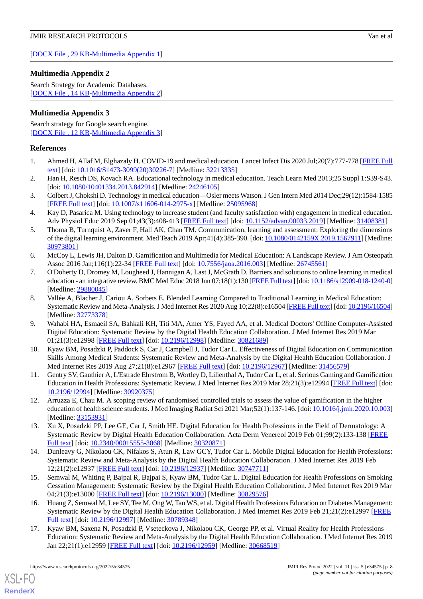[[DOCX File , 29 KB](https://jmir.org/api/download?alt_name=resprot_v11i5e34575_app1.docx&filename=7319c3fc01467d2b96e52082d93e4458.docx)-[Multimedia Appendix 1\]](https://jmir.org/api/download?alt_name=resprot_v11i5e34575_app1.docx&filename=7319c3fc01467d2b96e52082d93e4458.docx)

# <span id="page-7-9"></span>**Multimedia Appendix 2**

Search Strategy for Academic Databases. [[DOCX File , 14 KB](https://jmir.org/api/download?alt_name=resprot_v11i5e34575_app2.docx&filename=d865d8ee29c6323d1b2011435be49c0b.docx)-[Multimedia Appendix 2\]](https://jmir.org/api/download?alt_name=resprot_v11i5e34575_app2.docx&filename=d865d8ee29c6323d1b2011435be49c0b.docx)

# <span id="page-7-10"></span>**Multimedia Appendix 3**

Search strategy for Google search engine. [[DOCX File , 12 KB](https://jmir.org/api/download?alt_name=resprot_v11i5e34575_app3.docx&filename=97444a608bef7460037678655f6cd470.docx)-[Multimedia Appendix 3\]](https://jmir.org/api/download?alt_name=resprot_v11i5e34575_app3.docx&filename=97444a608bef7460037678655f6cd470.docx)

# <span id="page-7-0"></span>**References**

- <span id="page-7-1"></span>1. Ahmed H, Allaf M, Elghazaly H. COVID-19 and medical education. Lancet Infect Dis 2020 Jul;20(7):777-778 [\[FREE Full](http://europepmc.org/abstract/MED/32213335) [text](http://europepmc.org/abstract/MED/32213335)] [doi: [10.1016/S1473-3099\(20\)30226-7\]](http://dx.doi.org/10.1016/S1473-3099(20)30226-7) [Medline: [32213335](http://www.ncbi.nlm.nih.gov/entrez/query.fcgi?cmd=Retrieve&db=PubMed&list_uids=32213335&dopt=Abstract)]
- <span id="page-7-2"></span>2. Han H, Resch DS, Kovach RA. Educational technology in medical education. Teach Learn Med 2013;25 Suppl 1:S39-S43. [doi: [10.1080/10401334.2013.842914](http://dx.doi.org/10.1080/10401334.2013.842914)] [Medline: [24246105\]](http://www.ncbi.nlm.nih.gov/entrez/query.fcgi?cmd=Retrieve&db=PubMed&list_uids=24246105&dopt=Abstract)
- <span id="page-7-3"></span>3. Colbert J, Chokshi D. Technology in medical education—Osler meets Watson. J Gen Intern Med 2014 Dec;29(12):1584-1585 [[FREE Full text](http://europepmc.org/abstract/MED/25095968)] [doi: [10.1007/s11606-014-2975-x\]](http://dx.doi.org/10.1007/s11606-014-2975-x) [Medline: [25095968](http://www.ncbi.nlm.nih.gov/entrez/query.fcgi?cmd=Retrieve&db=PubMed&list_uids=25095968&dopt=Abstract)]
- <span id="page-7-4"></span>4. Kay D, Pasarica M. Using technology to increase student (and faculty satisfaction with) engagement in medical education. Adv Physiol Educ 2019 Sep 01;43(3):408-413 [\[FREE Full text](https://journals.physiology.org/doi/10.1152/advan.00033.2019?url_ver=Z39.88-2003&rfr_id=ori:rid:crossref.org&rfr_dat=cr_pub%3dpubmed)] [doi: [10.1152/advan.00033.2019\]](http://dx.doi.org/10.1152/advan.00033.2019) [Medline: [31408381](http://www.ncbi.nlm.nih.gov/entrez/query.fcgi?cmd=Retrieve&db=PubMed&list_uids=31408381&dopt=Abstract)]
- <span id="page-7-5"></span>5. Thoma B, Turnquist A, Zaver F, Hall AK, Chan TM. Communication, learning and assessment: Exploring the dimensions of the digital learning environment. Med Teach 2019 Apr;41(4):385-390. [doi: [10.1080/0142159X.2019.1567911\]](http://dx.doi.org/10.1080/0142159X.2019.1567911) [Medline: [30973801](http://www.ncbi.nlm.nih.gov/entrez/query.fcgi?cmd=Retrieve&db=PubMed&list_uids=30973801&dopt=Abstract)]
- 6. McCoy L, Lewis JH, Dalton D. Gamification and Multimedia for Medical Education: A Landscape Review. J Am Osteopath Assoc 2016 Jan;116(1):22-34 [[FREE Full text](https://www.degruyter.com/document/doi/10.7556/jaoa.2016.003)] [doi: [10.7556/jaoa.2016.003](http://dx.doi.org/10.7556/jaoa.2016.003)] [Medline: [26745561](http://www.ncbi.nlm.nih.gov/entrez/query.fcgi?cmd=Retrieve&db=PubMed&list_uids=26745561&dopt=Abstract)]
- <span id="page-7-6"></span>7. O'Doherty D, Dromey M, Lougheed J, Hannigan A, Last J, McGrath D. Barriers and solutions to online learning in medical education - an integrative review. BMC Med Educ 2018 Jun 07;18(1):130 [\[FREE Full text](https://bmcmededuc.biomedcentral.com/articles/10.1186/s12909-018-1240-0)] [doi: [10.1186/s12909-018-1240-0\]](http://dx.doi.org/10.1186/s12909-018-1240-0) [Medline: [29880045](http://www.ncbi.nlm.nih.gov/entrez/query.fcgi?cmd=Retrieve&db=PubMed&list_uids=29880045&dopt=Abstract)]
- 8. Vallée A, Blacher J, Cariou A, Sorbets E. Blended Learning Compared to Traditional Learning in Medical Education: Systematic Review and Meta-Analysis. J Med Internet Res 2020 Aug 10;22(8):e16504 [[FREE Full text\]](https://www.jmir.org/2020/8/e16504/) [doi: [10.2196/16504\]](http://dx.doi.org/10.2196/16504) [Medline: [32773378](http://www.ncbi.nlm.nih.gov/entrez/query.fcgi?cmd=Retrieve&db=PubMed&list_uids=32773378&dopt=Abstract)]
- <span id="page-7-12"></span>9. Wahabi HA, Esmaeil SA, Bahkali KH, Titi MA, Amer YS, Fayed AA, et al. Medical Doctors' Offline Computer-Assisted Digital Education: Systematic Review by the Digital Health Education Collaboration. J Med Internet Res 2019 Mar 01;21(3):e12998 [\[FREE Full text](https://www.jmir.org/2019/3/e12998/)] [doi: [10.2196/12998\]](http://dx.doi.org/10.2196/12998) [Medline: [30821689\]](http://www.ncbi.nlm.nih.gov/entrez/query.fcgi?cmd=Retrieve&db=PubMed&list_uids=30821689&dopt=Abstract)
- <span id="page-7-8"></span><span id="page-7-7"></span>10. Kyaw BM, Posadzki P, Paddock S, Car J, Campbell J, Tudor Car L. Effectiveness of Digital Education on Communication Skills Among Medical Students: Systematic Review and Meta-Analysis by the Digital Health Education Collaboration. J Med Internet Res 2019 Aug 27;21(8):e12967 [\[FREE Full text\]](https://www.jmir.org/2019/8/e12967/) [doi: [10.2196/12967](http://dx.doi.org/10.2196/12967)] [Medline: [31456579\]](http://www.ncbi.nlm.nih.gov/entrez/query.fcgi?cmd=Retrieve&db=PubMed&list_uids=31456579&dopt=Abstract)
- 11. Gentry SV, Gauthier A, L'Estrade Ehrstrom B, Wortley D, Lilienthal A, Tudor Car L, et al. Serious Gaming and Gamification Education in Health Professions: Systematic Review. J Med Internet Res 2019 Mar 28;21(3):e12994 [[FREE Full text](https://www.jmir.org/2019/3/e12994/)] [doi: [10.2196/12994\]](http://dx.doi.org/10.2196/12994) [Medline: [30920375\]](http://www.ncbi.nlm.nih.gov/entrez/query.fcgi?cmd=Retrieve&db=PubMed&list_uids=30920375&dopt=Abstract)
- <span id="page-7-13"></span>12. Arruzza E, Chau M. A scoping review of randomised controlled trials to assess the value of gamification in the higher education of health science students. J Med Imaging Radiat Sci 2021 Mar;52(1):137-146. [doi: [10.1016/j.jmir.2020.10.003](http://dx.doi.org/10.1016/j.jmir.2020.10.003)] [Medline: [33153931](http://www.ncbi.nlm.nih.gov/entrez/query.fcgi?cmd=Retrieve&db=PubMed&list_uids=33153931&dopt=Abstract)]
- 13. Xu X, Posadzki PP, Lee GE, Car J, Smith HE. Digital Education for Health Professions in the Field of Dermatology: A Systematic Review by Digital Health Education Collaboration. Acta Derm Venereol 2019 Feb 01;99(2):133-138 [[FREE](https://www.medicaljournals.se/acta/content/abstract/10.2340/00015555-3068) [Full text\]](https://www.medicaljournals.se/acta/content/abstract/10.2340/00015555-3068) [doi: [10.2340/00015555-3068\]](http://dx.doi.org/10.2340/00015555-3068) [Medline: [30320871\]](http://www.ncbi.nlm.nih.gov/entrez/query.fcgi?cmd=Retrieve&db=PubMed&list_uids=30320871&dopt=Abstract)
- 14. Dunleavy G, Nikolaou CK, Nifakos S, Atun R, Law GCY, Tudor Car L. Mobile Digital Education for Health Professions: Systematic Review and Meta-Analysis by the Digital Health Education Collaboration. J Med Internet Res 2019 Feb 12;21(2):e12937 [\[FREE Full text](https://www.jmir.org/2019/2/e12937/)] [doi: [10.2196/12937\]](http://dx.doi.org/10.2196/12937) [Medline: [30747711\]](http://www.ncbi.nlm.nih.gov/entrez/query.fcgi?cmd=Retrieve&db=PubMed&list_uids=30747711&dopt=Abstract)
- <span id="page-7-11"></span>15. Semwal M, Whiting P, Bajpai R, Bajpai S, Kyaw BM, Tudor Car L. Digital Education for Health Professions on Smoking Cessation Management: Systematic Review by the Digital Health Education Collaboration. J Med Internet Res 2019 Mar 04;21(3):e13000 [\[FREE Full text](https://www.jmir.org/2019/3/e13000/)] [doi: [10.2196/13000\]](http://dx.doi.org/10.2196/13000) [Medline: [30829576\]](http://www.ncbi.nlm.nih.gov/entrez/query.fcgi?cmd=Retrieve&db=PubMed&list_uids=30829576&dopt=Abstract)
- 16. Huang Z, Semwal M, Lee SY, Tee M, Ong W, Tan WS, et al. Digital Health Professions Education on Diabetes Management: Systematic Review by the Digital Health Education Collaboration. J Med Internet Res 2019 Feb 21;21(2):e12997 [[FREE](https://www.jmir.org/2019/2/e12997/) [Full text\]](https://www.jmir.org/2019/2/e12997/) [doi: [10.2196/12997\]](http://dx.doi.org/10.2196/12997) [Medline: [30789348](http://www.ncbi.nlm.nih.gov/entrez/query.fcgi?cmd=Retrieve&db=PubMed&list_uids=30789348&dopt=Abstract)]
- 17. Kyaw BM, Saxena N, Posadzki P, Vseteckova J, Nikolaou CK, George PP, et al. Virtual Reality for Health Professions Education: Systematic Review and Meta-Analysis by the Digital Health Education Collaboration. J Med Internet Res 2019 Jan 22;21(1):e12959 [[FREE Full text](https://www.jmir.org/2019/1/e12959/)] [doi: [10.2196/12959\]](http://dx.doi.org/10.2196/12959) [Medline: [30668519](http://www.ncbi.nlm.nih.gov/entrez/query.fcgi?cmd=Retrieve&db=PubMed&list_uids=30668519&dopt=Abstract)]

[XSL](http://www.w3.org/Style/XSL)•FO **[RenderX](http://www.renderx.com/)**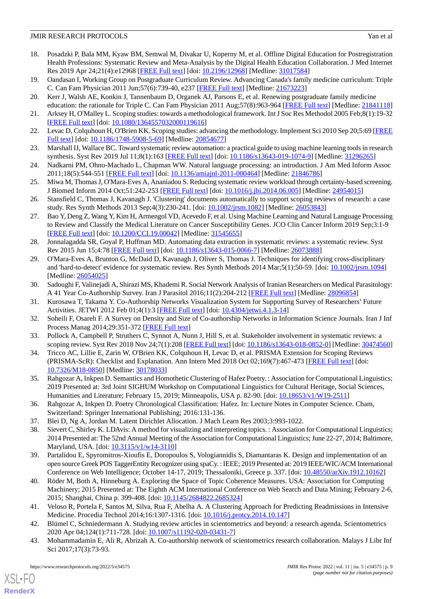- <span id="page-8-0"></span>18. Posadzki P, Bala MM, Kyaw BM, Semwal M, Divakar U, Koperny M, et al. Offline Digital Education for Postregistration Health Professions: Systematic Review and Meta-Analysis by the Digital Health Education Collaboration. J Med Internet Res 2019 Apr 24;21(4):e12968 [\[FREE Full text\]](https://www.jmir.org/2019/4/e12968/) [doi: [10.2196/12968\]](http://dx.doi.org/10.2196/12968) [Medline: [31017584\]](http://www.ncbi.nlm.nih.gov/entrez/query.fcgi?cmd=Retrieve&db=PubMed&list_uids=31017584&dopt=Abstract)
- <span id="page-8-2"></span><span id="page-8-1"></span>19. Oandasan I, Working Group on Postgraduate Curriculum Review. Advancing Canada's family medicine curriculum: Triple C. Can Fam Physician 2011 Jun;57(6):739-40, e237 [\[FREE Full text\]](http://www.cfp.ca/cgi/pmidlookup?view=long&pmid=21673223) [Medline: [21673223\]](http://www.ncbi.nlm.nih.gov/entrez/query.fcgi?cmd=Retrieve&db=PubMed&list_uids=21673223&dopt=Abstract)
- 20. Kerr J, Walsh AE, Konkin J, Tannenbaum D, Organek AJ, Parsons E, et al. Renewing postgraduate family medicine
- <span id="page-8-3"></span>education: the rationale for Triple C. Can Fam Physician 2011 Aug; 57(8): 963-964 [\[FREE Full text\]](http://www.cfp.ca/cgi/pmidlookup?view=long&pmid=21841118) [Medline: [21841118](http://www.ncbi.nlm.nih.gov/entrez/query.fcgi?cmd=Retrieve&db=PubMed&list_uids=21841118&dopt=Abstract)] 21. Arksey H, O'Malley L. Scoping studies: towards a methodological framework. Int J Soc Res Methodol 2005 Feb;8(1):19-32 [[FREE Full text](https://doi.org/10.1080/1364557032000119616)] [doi: [10.1080/1364557032000119616\]](http://dx.doi.org/10.1080/1364557032000119616)
- <span id="page-8-5"></span><span id="page-8-4"></span>22. Levac D, Colquhoun H, O'Brien KK. Scoping studies: advancing the methodology. Implement Sci 2010 Sep 20;5:69 [\[FREE](https://implementationscience.biomedcentral.com/articles/10.1186/1748-5908-5-69) [Full text\]](https://implementationscience.biomedcentral.com/articles/10.1186/1748-5908-5-69) [doi: [10.1186/1748-5908-5-69\]](http://dx.doi.org/10.1186/1748-5908-5-69) [Medline: [20854677](http://www.ncbi.nlm.nih.gov/entrez/query.fcgi?cmd=Retrieve&db=PubMed&list_uids=20854677&dopt=Abstract)]
- <span id="page-8-6"></span>23. Marshall IJ, Wallace BC. Toward systematic review automation: a practical guide to using machine learning tools in research synthesis. Syst Rev 2019 Jul 11;8(1):163 [\[FREE Full text](https://systematicreviewsjournal.biomedcentral.com/articles/10.1186/s13643-019-1074-9)] [doi: [10.1186/s13643-019-1074-9\]](http://dx.doi.org/10.1186/s13643-019-1074-9) [Medline: [31296265\]](http://www.ncbi.nlm.nih.gov/entrez/query.fcgi?cmd=Retrieve&db=PubMed&list_uids=31296265&dopt=Abstract)
- <span id="page-8-7"></span>24. Nadkarni PM, Ohno-Machado L, Chapman WW. Natural language processing: an introduction. J Am Med Inform Assoc 2011;18(5):544-551 [[FREE Full text](http://europepmc.org/abstract/MED/21846786)] [doi: [10.1136/amiajnl-2011-000464](http://dx.doi.org/10.1136/amiajnl-2011-000464)] [Medline: [21846786](http://www.ncbi.nlm.nih.gov/entrez/query.fcgi?cmd=Retrieve&db=PubMed&list_uids=21846786&dopt=Abstract)]
- <span id="page-8-9"></span>25. Miwa M, Thomas J, O'Mara-Eves A, Ananiadou S. Reducing systematic review workload through certainty-based screening. J Biomed Inform 2014 Oct;51:242-253 [\[FREE Full text](https://linkinghub.elsevier.com/retrieve/pii/S1532-0464(14)00143-9)] [doi: [10.1016/j.jbi.2014.06.005](http://dx.doi.org/10.1016/j.jbi.2014.06.005)] [Medline: [24954015](http://www.ncbi.nlm.nih.gov/entrez/query.fcgi?cmd=Retrieve&db=PubMed&list_uids=24954015&dopt=Abstract)]
- 26. Stansfield C, Thomas J, Kavanagh J. 'Clustering' documents automatically to support scoping reviews of research: a case study. Res Synth Methods 2013 Sep;4(3):230-241. [doi: [10.1002/jrsm.1082](http://dx.doi.org/10.1002/jrsm.1082)] [Medline: [26053843](http://www.ncbi.nlm.nih.gov/entrez/query.fcgi?cmd=Retrieve&db=PubMed&list_uids=26053843&dopt=Abstract)]
- 27. Bao Y, Deng Z, Wang Y, Kim H, Armengol VD, Acevedo F, et al. Using Machine Learning and Natural Language Processing to Review and Classify the Medical Literature on Cancer Susceptibility Genes. JCO Clin Cancer Inform 2019 Sep;3:1-9 [[FREE Full text](https://ascopubs.org/doi/10.1200/CCI.19.00042?url_ver=Z39.88-2003&rfr_id=ori:rid:crossref.org&rfr_dat=cr_pub%3dpubmed)] [doi: [10.1200/CCI.19.00042](http://dx.doi.org/10.1200/CCI.19.00042)] [Medline: [31545655](http://www.ncbi.nlm.nih.gov/entrez/query.fcgi?cmd=Retrieve&db=PubMed&list_uids=31545655&dopt=Abstract)]
- <span id="page-8-8"></span>28. Jonnalagadda SR, Goyal P, Huffman MD. Automating data extraction in systematic reviews: a systematic review. Syst Rev 2015 Jun 15;4:78 [\[FREE Full text\]](https://systematicreviewsjournal.biomedcentral.com/articles/10.1186/s13643-015-0066-7) [doi: [10.1186/s13643-015-0066-7\]](http://dx.doi.org/10.1186/s13643-015-0066-7) [Medline: [26073888\]](http://www.ncbi.nlm.nih.gov/entrez/query.fcgi?cmd=Retrieve&db=PubMed&list_uids=26073888&dopt=Abstract)
- <span id="page-8-10"></span>29. O'Mara-Eves A, Brunton G, McDaid D, Kavanagh J, Oliver S, Thomas J. Techniques for identifying cross-disciplinary and 'hard-to-detect' evidence for systematic review. Res Synth Methods 2014 Mar;5(1):50-59. [doi: [10.1002/jrsm.1094\]](http://dx.doi.org/10.1002/jrsm.1094) [Medline: [26054025](http://www.ncbi.nlm.nih.gov/entrez/query.fcgi?cmd=Retrieve&db=PubMed&list_uids=26054025&dopt=Abstract)]
- <span id="page-8-11"></span>30. Sadoughi F, Valinejadi A, Shirazi MS, Khademi R. Social Network Analysis of Iranian Researchers on Medical Parasitology: A 41 Year Co-Authorship Survey. Iran J Parasitol 2016;11(2):204-212 [\[FREE Full text\]](http://europepmc.org/abstract/MED/28096854) [Medline: [28096854\]](http://www.ncbi.nlm.nih.gov/entrez/query.fcgi?cmd=Retrieve&db=PubMed&list_uids=28096854&dopt=Abstract)
- <span id="page-8-12"></span>31. Kurosawa T, Takama Y. Co-Authorship Networks Visualization System for Supporting Survey of Researchers'Future Activities. JETWI 2012 Feb 01;4(1):3 [[FREE Full text](https://doi.org/10.4304/jetwi.4.1.3-14)] [doi: [10.4304/jetwi.4.1.3-14](http://dx.doi.org/10.4304/jetwi.4.1.3-14)]
- <span id="page-8-13"></span>32. Soheili F, Osareh F. A Survey on Density and Size of Co-authorship Networks in Information Science Journals. Iran J Inf Process Manag 2014;29:351-372 [[FREE Full text\]](http://jipm.irandoc.ac.ir/article-1-2203-en.html)
- <span id="page-8-14"></span>33. Pollock A, Campbell P, Struthers C, Synnot A, Nunn J, Hill S, et al. Stakeholder involvement in systematic reviews: a scoping review. Syst Rev 2018 Nov 24;7(1):208 [[FREE Full text\]](https://systematicreviewsjournal.biomedcentral.com/articles/10.1186/s13643-018-0852-0) [doi: [10.1186/s13643-018-0852-0](http://dx.doi.org/10.1186/s13643-018-0852-0)] [Medline: [30474560](http://www.ncbi.nlm.nih.gov/entrez/query.fcgi?cmd=Retrieve&db=PubMed&list_uids=30474560&dopt=Abstract)]
- <span id="page-8-15"></span>34. Tricco AC, Lillie E, Zarin W, O'Brien KK, Colquhoun H, Levac D, et al. PRISMA Extension for Scoping Reviews (PRISMA-ScR): Checklist and Explanation. Ann Intern Med 2018 Oct 02;169(7):467-473 [[FREE Full text](https://www.acpjournals.org/doi/abs/10.7326/M18-0850?url_ver=Z39.88-2003&rfr_id=ori:rid:crossref.org&rfr_dat=cr_pub%3dpubmed)] [doi: [10.7326/M18-0850](http://dx.doi.org/10.7326/M18-0850)] [Medline: [30178033\]](http://www.ncbi.nlm.nih.gov/entrez/query.fcgi?cmd=Retrieve&db=PubMed&list_uids=30178033&dopt=Abstract)
- <span id="page-8-17"></span><span id="page-8-16"></span>35. Rahgozar A, Inkpen D. Semantics and Homothetic Clustering of Hafez Poetry. : Association for Computational Linguistics; 2019 Presented at: 3rd Joint SIGHUM Workshop on Computational Linguistics for Cultural Heritage, Social Sciences, Humanities and Literature; February 15, 2019; Minneapolis, USA p. 82-90. [doi: [10.18653/v1/W19-2511\]](http://dx.doi.org/10.18653/v1/W19-2511)
- <span id="page-8-18"></span>36. Rahgozar A, Inkpen D. Poetry Chronological Classification: Hafez. In: Lecture Notes in Computer Science. Cham, Switzerland: Springer International Publishing; 2016:131-136.
- 37. Blei D, Ng A, Jordan M. Latent Dirichlet Allocation. J Mach Learn Res 2003;3:993-1022.
- <span id="page-8-19"></span>38. Sievert C, Shirley K. LDAvis: A method for visualizing and interpreting topics. : Association for Computational Linguistics; 2014 Presented at: The 52nd Annual Meeting of the Association for Computational Linguistics; June 22-27, 2014; Baltimore, Maryland, USA. [doi: [10.3115/v1/w14-3110](http://dx.doi.org/10.3115/v1/w14-3110)]
- <span id="page-8-20"></span>39. Partalidou E, Spyromitros-Xioufis E, Doropoulos S, Vologiannidis S, Diamantaras K. Design and implementation of an open source Greek POS TaggerEntity Recognizer using spaCy. : IEEE; 2019 Presented at: 2019 IEEE/WIC/ACM International Conference on Web Intelligence; October 14-17, 2019; Thessaloniki, Greece p. 337. [doi: [10.48550/arXiv.1912.10162\]](http://dx.doi.org/10.48550/arXiv.1912.10162)
- <span id="page-8-22"></span><span id="page-8-21"></span>40. Röder M, Both A, Hinneburg A. Exploring the Space of Topic Coherence Measures. USA: Association for Computing Machinery; 2015 Presented at: The Eighth ACM International Conference on Web Search and Data Mining; February 2-6, 2015; Shanghai, China p. 399-408. [doi: [10.1145/2684822.2685324\]](http://dx.doi.org/10.1145/2684822.2685324)
- 41. Veloso R, Portela F, Santos M, Silva, Rua F, Abelha A. A Clustering Approach for Predicting Readmissions in Intensive Medicine. Procedia Technol 2014;16:1307-1316. [doi: [10.1016/j.protcy.2014.10.147](http://dx.doi.org/10.1016/j.protcy.2014.10.147)]
- 42. Blümel C, Schniedermann A. Studying review articles in scientometrics and beyond: a research agenda. Scientometrics 2020 Apr 04;124(1):711-728. [doi: [10.1007/s11192-020-03431-7](http://dx.doi.org/10.1007/s11192-020-03431-7)]
- 43. Mohammadamin E, Ali R, Abrizah A. Co-authorship network of scientometrics research collaboration. Malays J Libr Inf Sci 2017;17(3):73-93.

 $XS$  • FO **[RenderX](http://www.renderx.com/)**